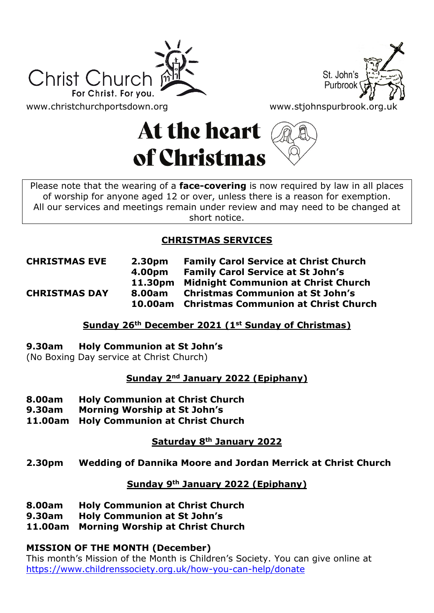



[www.christchurchportsdown.org](http://www.christchurchportsdown.org/) www.stjohnspurbrook.org.u

# At the heart of Christmas



Please note that the wearing of a **face-covering** is now required by law in all places of worship for anyone aged 12 or over, unless there is a reason for exemption. All our services and meetings remain under review and may need to be changed at short notice.

# **CHRISTMAS SERVICES**

**CHRISTMAS EVE 2.30pm Family Carol Service at Christ Church 4.00pm Family Carol Service at St John's 11.30pm Midnight Communion at Christ Church CHRISTMAS DAY 8.00am Christmas Communion at St John's 10.00am Christmas Communion at Christ Church**

# **Sunday 26th December 2021 (1st Sunday of Christmas)**

## **9.30am Holy Communion at St John's**

(No Boxing Day service at Christ Church)

## **Sunday 2nd January 2022 (Epiphany)**

- **8.00am Holy Communion at Christ Church**
- **9.30am Morning Worship at St John's**
- **11.00am Holy Communion at Christ Church**

# **Saturday 8th January 2022**

## **2.30pm Wedding of Dannika Moore and Jordan Merrick at Christ Church**

## **Sunday 9th January 2022 (Epiphany)**

- **8.00am Holy Communion at Christ Church**
- **9.30am Holy Communion at St John's**
- **11.00am Morning Worship at Christ Church**

# **MISSION OF THE MONTH (December)**

This month's Mission of the Month is Children's Society. You can give online at <https://www.childrenssociety.org.uk/how-you-can-help/donate>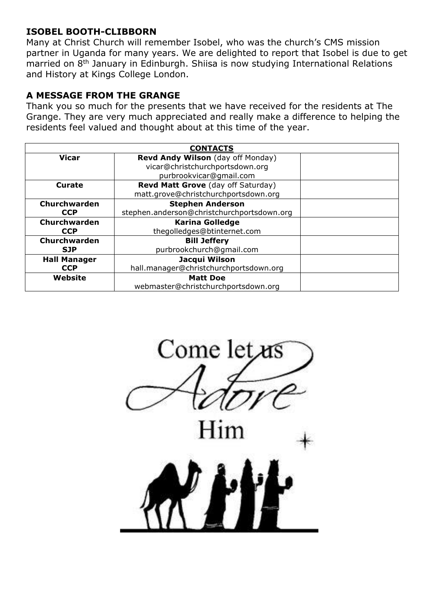#### **ISOBEL BOOTH-CLIBBORN**

Many at Christ Church will remember Isobel, who was the church's CMS mission partner in Uganda for many years. We are delighted to report that Isobel is due to get married on 8<sup>th</sup> January in Edinburgh. Shiisa is now studying International Relations and History at Kings College London.

#### **A MESSAGE FROM THE GRANGE**

Thank you so much for the presents that we have received for the residents at The Grange. They are very much appreciated and really make a difference to helping the residents feel valued and thought about at this time of the year.

| <b>CONTACTS</b>     |                                            |  |
|---------------------|--------------------------------------------|--|
| Vicar               | Revd Andy Wilson (day off Monday)          |  |
|                     | vicar@christchurchportsdown.org            |  |
|                     | purbrookvicar@gmail.com                    |  |
| Curate              | Revd Matt Grove (day off Saturday)         |  |
|                     | matt.grove@christchurchportsdown.org       |  |
| Churchwarden        | <b>Stephen Anderson</b>                    |  |
| <b>CCP</b>          | stephen.anderson@christchurchportsdown.org |  |
| Churchwarden        | <b>Karina Golledge</b>                     |  |
| <b>CCP</b>          | thegolledges@btinternet.com                |  |
| Churchwarden        | <b>Bill Jeffery</b>                        |  |
| <b>SJP</b>          | purbrookchurch@qmail.com                   |  |
| <b>Hall Manager</b> | Jacqui Wilson                              |  |
| <b>CCP</b>          | hall.manager@christchurchportsdown.org     |  |
| Website             | <b>Matt Doe</b>                            |  |
|                     | webmaster@christchurchportsdown.org        |  |

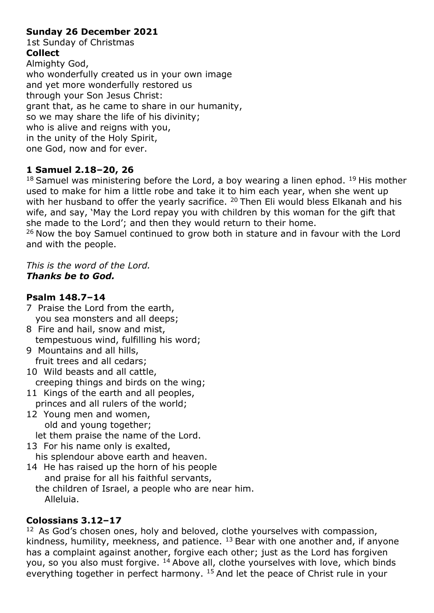#### **Sunday 26 December 2021**

1st Sunday of Christmas **Collect**

Almighty God, who wonderfully created us in your own image and yet more wonderfully restored us through your Son Jesus Christ: grant that, as he came to share in our humanity, so we may share the life of his divinity; who is alive and reigns with you, in the unity of the Holy Spirit, one God, now and for ever.

#### **1 Samuel 2.18–20, 26**

 $18$  Samuel was ministering before the Lord, a boy wearing a linen ephod.  $19$  His mother used to make for him a little robe and take it to him each year, when she went up with her husband to offer the yearly sacrifice. <sup>20</sup> Then Eli would bless Elkanah and his wife, and say, 'May the Lord repay you with children by this woman for the gift that she made to the Lord'; and then they would return to their home.

 $26$  Now the boy Samuel continued to grow both in stature and in favour with the Lord and with the people.

#### *This is the word of the Lord. Thanks be to God.*

#### **Psalm 148.7–14**

- 7 Praise the Lord from the earth, you sea monsters and all deeps;
- 8 Fire and hail, snow and mist, tempestuous wind, fulfilling his word;
- 9 Mountains and all hills, fruit trees and all cedars;
- 10 Wild beasts and all cattle, creeping things and birds on the wing;
- 11 Kings of the earth and all peoples, princes and all rulers of the world;
- 12 Young men and women, old and young together; let them praise the name of the Lord.
- 13 For his name only is exalted, his splendour above earth and heaven.
- 14 He has raised up the horn of his people and praise for all his faithful servants, the children of Israel, a people who are near him. Alleluia.

#### **Colossians 3.12–17**

<sup>12</sup> As God's chosen ones, holy and beloved, clothe yourselves with compassion, kindness, humility, meekness, and patience.  $^{13}$  Bear with one another and, if anyone has a complaint against another, forgive each other; just as the Lord has forgiven you, so you also must forgive. <sup>14</sup>Above all, clothe yourselves with love, which binds everything together in perfect harmony. <sup>15</sup> And let the peace of Christ rule in your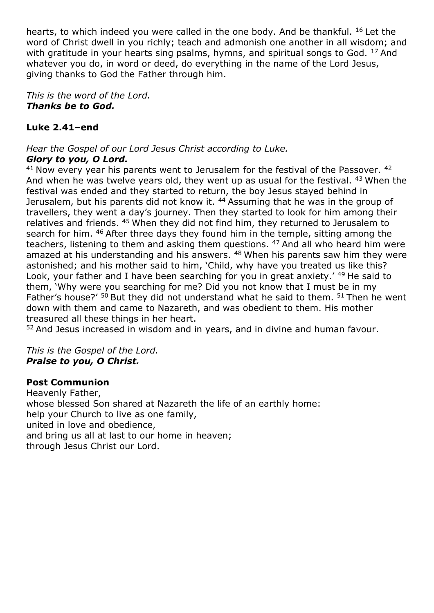hearts, to which indeed you were called in the one body. And be thankful. <sup>16</sup> Let the word of Christ dwell in you richly; teach and admonish one another in all wisdom; and with gratitude in your hearts sing psalms, hymns, and spiritual songs to God. <sup>17</sup> And whatever you do, in word or deed, do everything in the name of the Lord Jesus, giving thanks to God the Father through him.

*This is the word of the Lord. Thanks be to God.*

## **Luke 2.41–end**

*Hear the Gospel of our Lord Jesus Christ according to Luke. Glory to you, O Lord.*

 $41$  Now every year his parents went to Jerusalem for the festival of the Passover.  $42$ And when he was twelve years old, they went up as usual for the festival. <sup>43</sup> When the festival was ended and they started to return, the boy Jesus stayed behind in Jerusalem, but his parents did not know it. <sup>44</sup> Assuming that he was in the group of travellers, they went a day's journey. Then they started to look for him among their relatives and friends. <sup>45</sup> When they did not find him, they returned to Jerusalem to search for him. <sup>46</sup> After three days they found him in the temple, sitting among the teachers, listening to them and asking them questions. <sup>47</sup> And all who heard him were amazed at his understanding and his answers. <sup>48</sup> When his parents saw him they were astonished; and his mother said to him, 'Child, why have you treated us like this? Look, your father and I have been searching for you in great anxiety.' <sup>49</sup> He said to them, 'Why were you searching for me? Did you not know that I must be in my Father's house?'  $50$  But they did not understand what he said to them.  $51$  Then he went down with them and came to Nazareth, and was obedient to them. His mother treasured all these things in her heart.

52 And Jesus increased in wisdom and in years, and in divine and human favour.

*This is the Gospel of the Lord. Praise to you, O Christ.*

#### **Post Communion**

Heavenly Father, whose blessed Son shared at Nazareth the life of an earthly home: help your Church to live as one family, united in love and obedience, and bring us all at last to our home in heaven; through Jesus Christ our Lord.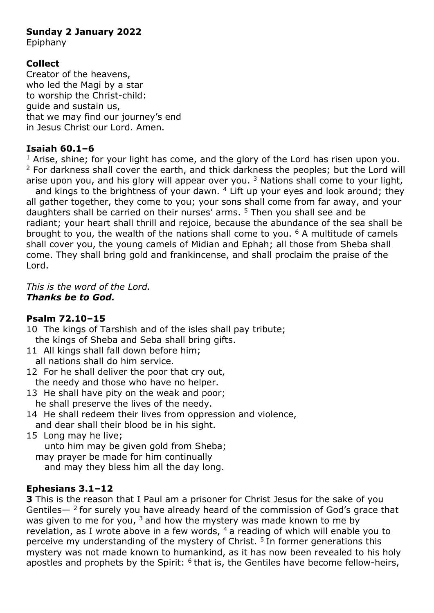#### **Sunday 2 January 2022**

Epiphany

## **Collect**

Creator of the heavens, who led the Magi by a star to worship the Christ-child: guide and sustain us, that we may find our journey's end in Jesus Christ our Lord. Amen.

#### **Isaiah 60.1–6**

 $1$  Arise, shine; for your light has come, and the glory of the Lord has risen upon you.  $2$  For darkness shall cover the earth, and thick darkness the peoples; but the Lord will arise upon you, and his glory will appear over you.<sup>3</sup> Nations shall come to your light,

and kings to the brightness of your dawn.  $4$  Lift up your eyes and look around; they all gather together, they come to you; your sons shall come from far away, and your daughters shall be carried on their nurses' arms. <sup>5</sup> Then you shall see and be radiant; your heart shall thrill and rejoice, because the abundance of the sea shall be brought to you, the wealth of the nations shall come to you.  $6$  A multitude of camels shall cover you, the young camels of Midian and Ephah; all those from Sheba shall come. They shall bring gold and frankincense, and shall proclaim the praise of the Lord.

*This is the word of the Lord. Thanks be to God.*

## **Psalm 72.10–15**

- 10 The kings of Tarshish and of the isles shall pay tribute; the kings of Sheba and Seba shall bring gifts.
- 11 All kings shall fall down before him: all nations shall do him service.
- 12 For he shall deliver the poor that cry out, the needy and those who have no helper.
- 13 He shall have pity on the weak and poor; he shall preserve the lives of the needy.
- 14 He shall redeem their lives from oppression and violence, and dear shall their blood be in his sight.
- 15 Long may he live; unto him may be given gold from Sheba; may prayer be made for him continually

and may they bless him all the day long.

#### **Ephesians 3.1–12**

**3** This is the reason that I Paul am a prisoner for Christ Jesus for the sake of you Gentiles—  $2$  for surely you have already heard of the commission of God's grace that was given to me for you,  $3$  and how the mystery was made known to me by revelation, as I wrote above in a few words,  $4a$  reading of which will enable you to perceive my understanding of the mystery of Christ.<sup>5</sup> In former generations this mystery was not made known to humankind, as it has now been revealed to his holy apostles and prophets by the Spirit:  $6$  that is, the Gentiles have become fellow-heirs,